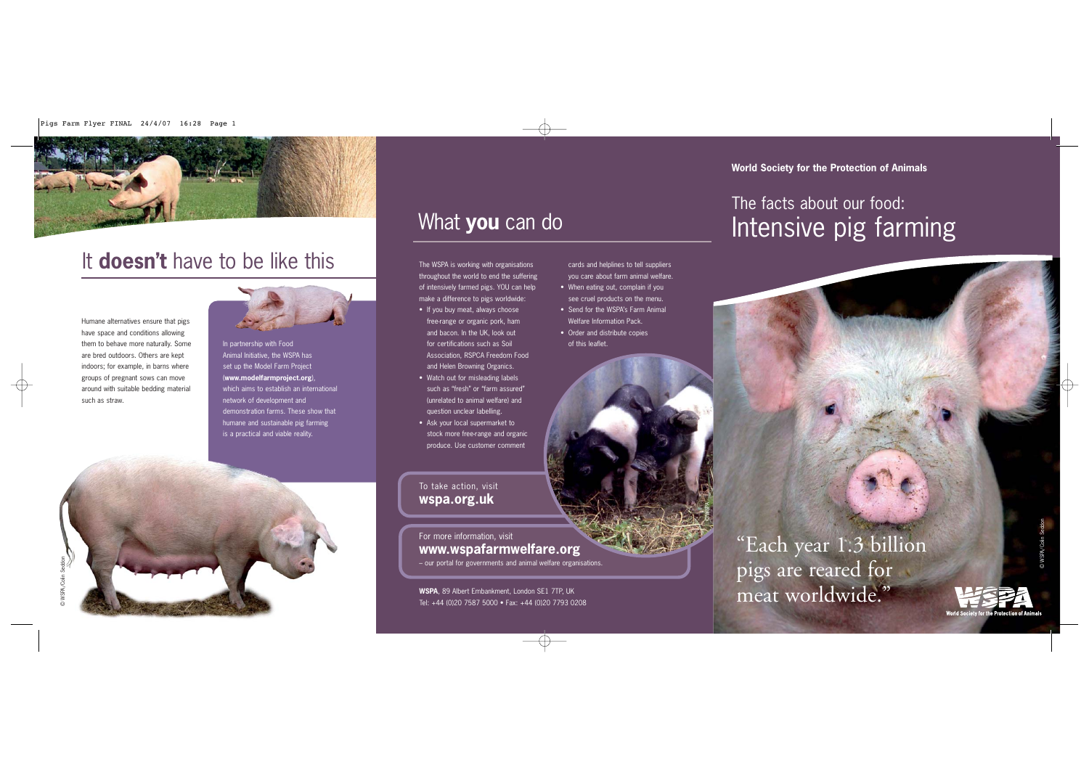# It **doesn't** have to be like this

Humane alternatives ensure that pigs have space and conditions allowing them to behave more naturally. Some are bred outdoors. Others are kept indoors; for example, in barns where groups of pregnant sows can move around with suitable bedding material such as straw.



In partnership with Food Animal Initiative, the WSPA has set up the Model Farm Project (**www.modelfarmproject.org**), which aims to establish an international network of development and demonstration farms. These show that humane and sustainable pig farming is a practical and viable reality.

# What **you** can do

cards and helplines to tell suppliers you care about farm animal welfare. • When eating out, complain if you see cruel products on the menu. • Send for the WSPA's Farm Animal Welfare Information Pack. • Order and distribute copies

of this leaflet.

The WSPA is working with organisations throughout the world to end the suffering of intensively farmed pigs. YOU can help make a difference to pigs worldwide:

- If you buy meat, always choose free-range or organic pork, ham and bacon. In the UK, look out for certifications such as Soil Association, RSPCA Freedom Food and Helen Browning Organics.
- Watch out for misleading labels such as "fresh" or "farm assured" (unrelated to animal welfare) and question unclear labelling.
- Ask your local supermarket to stock more free-range and organic produce. Use customer comment

To take action, visit **wspa.org.uk**

### For more information, visit **www.wspafarmwelfare.org**

– our portal for governments and animal welfare organisations.

# Intensive pig farming The facts about our food: